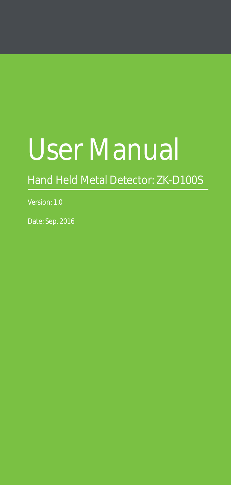# User Manual

Hand Held Metal Detector: ZK-D100S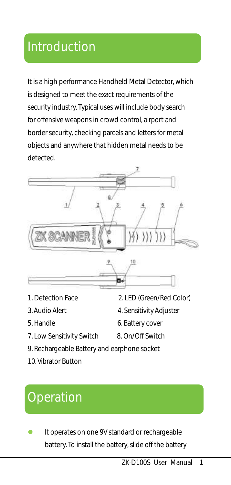#### Introduction

It is a high performance Handheld Metal Detector, which is designed to meet the exact requirements of the security industry. Typical uses will include body search for offensive weapons in crowd control, airport and border security, checking parcels and letters for metal objects and anywhere that hidden metal needs to be detected.



- 
- 
- 
- 7. Low Sensitivity Switch 8. On/Off Switch
- 1. Detection Face 2. LED (Green/Red Color)
- 3. Audio Alert 4. Sensitivity Adjuster
- 5. Handle 6. Battery cover
	-
- 9. Rechargeable Battery and earphone socket
- 10. Vibrator Button

# **Operation**

 It operates on one 9V standard or rechargeable battery. To install the battery, slide off the battery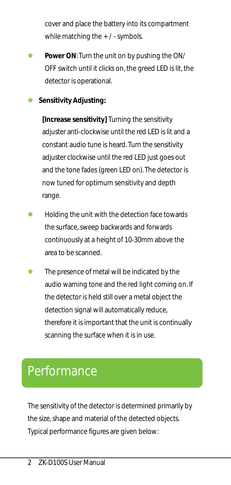cover and place the battery into its compartment while matching the + / - symbols.

- **Power ON**: Turn the unit on by pushing the ON/ OFF switch until it clicks on, the greed LED is lit, the detector is operational.
- **Sensitivity Adjusting:**

**[Increase sensitivity]** Turning the sensitivity adjuster anti-clockwise until the red LED is lit and a constant audio tune is heard. Turn the sensitivity adjuster clockwise until the red LED just goes out and the tone fades (green LED on). The detector is now tuned for optimum sensitivity and depth range.

- Holding the unit with the detection face towards the surface, sweep backwards and forwards continuously at a height of 10-30mm above the area to be scanned.
- The presence of metal will be indicated by the audio warning tone and the red light coming on. If the detector is held still over a metal object the detection signal will automatically reduce. therefore it is important that the unit is continually scanning the surface when it is in use.

#### Performance

The sensitivity of the detector is determined primarily by the size, shape and material of the detected objects. Typical performance figures are given below: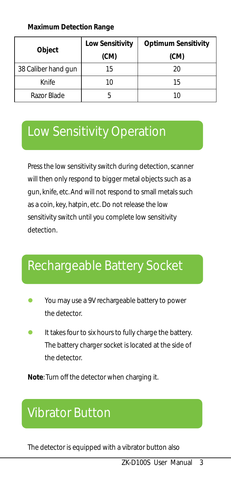**Maximum Detection Range**

| Object              | Low Sensitivity | Optimum Sensitivity |
|---------------------|-----------------|---------------------|
|                     | (CM)            | (CM)                |
| 38 Caliber hand gun | 15              | 20                  |
| Knife               |                 | 15                  |
| Razor Blade         |                 |                     |

#### Low Sensitivity Operation

Press the low sensitivity switch during detection, scanner will then only respond to bigger metal objects such as a gun, knife, etc. And will not respond to small metals such as a coin, key, hatpin, etc. Do not release the low sensitivity switch until you complete low sensitivity detection.

#### Rechargeable Battery Socket

- You may use a 9V rechargeable battery to power the detector.
- It takes four to six hours to fully charge the battery. The battery charger socket is located at the side of the detector.

**Note**: Turn off the detector when charging it.

## Vibrator Button

The detector is equipped with a vibrator button also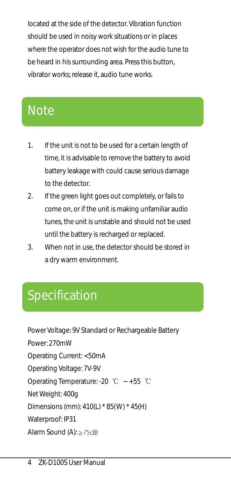located at the side of the detector. Vibration function should be used in noisy work situations or in places where the operator does not wish for the audio tune to be heard in his surrounding area. Press this button, vibrator works; release it, audio tune works.

## Note

- 1. If the unit is not to be used for a certain length of time, it is advisable to remove the battery to avoid battery leakage with could cause serious damage to the detector.
- 2. If the green light goes out completely, or fails to come on, or if the unit is making unfamiliar audio tunes, the unit is unstable and should not be used until the battery is recharged or replaced.
- 3. When not in use, the detector should be stored in a dry warm environment.

## Specification

Power Voltage: 9V Standard or Rechargeable Battery Power: 270mW Operating Current: <50mA Operating Voltage: 7V-9V Operating Temperature: -20 ℃ ~ +55 ℃ Net Weight: 400g Dimensions (mm): 410(L) \* 85(W) \* 45(H) Waterproof: IP31 Alarm Sound (A): ≥75dB